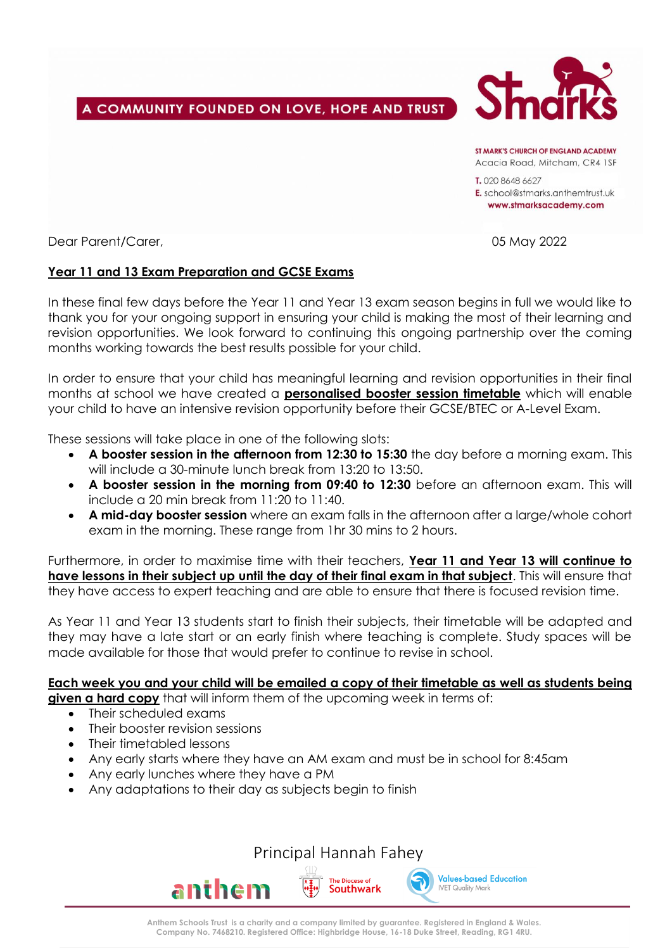# A COMMUNITY FOUNDED ON LOVE, HOPE AND TRUST



ST MARK'S CHIIRCH OF FNGLAND ACADEMY Acacia Road, Mitcham, CR4 1SF

T. 020 8648 6627 E. school@stmarks.anthemtrust.uk www.stmarksacademy.com

Dear Parent/Carer, 05 May 2022

## **Year 11 and 13 Exam Preparation and GCSE Exams**

In these final few days before the Year 11 and Year 13 exam season begins in full we would like to thank you for your ongoing support in ensuring your child is making the most of their learning and revision opportunities. We look forward to continuing this ongoing partnership over the coming months working towards the best results possible for your child.

In order to ensure that your child has meaningful learning and revision opportunities in their final months at school we have created a **personalised booster session timetable** which will enable your child to have an intensive revision opportunity before their GCSE/BTEC or A-Level Exam.

These sessions will take place in one of the following slots:

- **A booster session in the afternoon from 12:30 to 15:30** the day before a morning exam. This will include a 30-minute lunch break from 13:20 to 13:50.
- **A booster session in the morning from 09:40 to 12:30** before an afternoon exam. This will include a 20 min break from 11:20 to 11:40.
- **A mid-day booster session** where an exam falls in the afternoon after a large/whole cohort exam in the morning. These range from 1hr 30 mins to 2 hours.

Furthermore, in order to maximise time with their teachers, **Year 11 and Year 13 will continue to have lessons in their subject up until the day of their final exam in that subject**. This will ensure that they have access to expert teaching and are able to ensure that there is focused revision time.

As Year 11 and Year 13 students start to finish their subjects, their timetable will be adapted and they may have a late start or an early finish where teaching is complete. Study spaces will be made available for those that would prefer to continue to revise in school.

#### **Each week you and your child will be emailed a copy of their timetable as well as students being given a hard copy** that will inform them of the upcoming week in terms of:

- Their scheduled exams
- Their booster revision sessions
- Their timetabled lessons
- Any early starts where they have an AM exam and must be in school for 8:45am
- Any early lunches where they have a PM
- Any adaptations to their day as subjects begin to finish

Principal Hannah Fahey

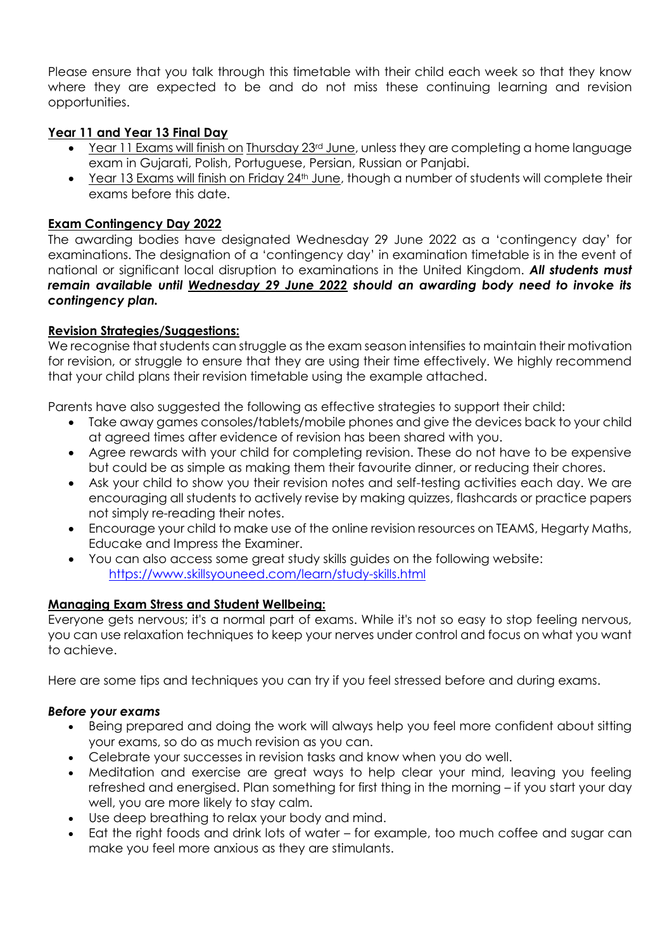Please ensure that you talk through this timetable with their child each week so that they know where they are expected to be and do not miss these continuing learning and revision opportunities.

# **Year 11 and Year 13 Final Day**

- Year 11 Exams will finish on Thursday 23rd June, unless they are completing a home language exam in Gujarati, Polish, Portuguese, Persian, Russian or Panjabi.
- Year 13 Exams will finish on Friday 24<sup>th</sup> June, though a number of students will complete their exams before this date.

## **Exam Contingency Day 2022**

The awarding bodies have designated Wednesday 29 June 2022 as a 'contingency day' for examinations. The designation of a 'contingency day' in examination timetable is in the event of national or significant local disruption to examinations in the United Kingdom. *All students must remain available until Wednesday 29 June 2022 should an awarding body need to invoke its contingency plan.*

## **Revision Strategies/Suggestions:**

We recognise that students can struggle as the exam season intensifies to maintain their motivation for revision, or struggle to ensure that they are using their time effectively. We highly recommend that your child plans their revision timetable using the example attached.

Parents have also suggested the following as effective strategies to support their child:

- Take away games consoles/tablets/mobile phones and give the devices back to your child at agreed times after evidence of revision has been shared with you.
- Agree rewards with your child for completing revision. These do not have to be expensive but could be as simple as making them their favourite dinner, or reducing their chores.
- Ask your child to show you their revision notes and self-testing activities each day. We are encouraging all students to actively revise by making quizzes, flashcards or practice papers not simply re-reading their notes.
- Encourage your child to make use of the online revision resources on TEAMS, Hegarty Maths, Educake and Impress the Examiner.
- You can also access some great study skills guides on the following website: <https://www.skillsyouneed.com/learn/study-skills.html>

#### **Managing Exam Stress and Student Wellbeing:**

Everyone gets nervous; it's a normal part of exams. While it's not so easy to stop feeling nervous, you can use relaxation techniques to keep your nerves under control and focus on what you want to achieve.

Here are some tips and techniques you can try if you feel stressed before and during exams.

#### *Before your exams*

- Being prepared and doing the work will always help you feel more confident about sitting your exams, so do as much revision as you can.
- Celebrate your successes in revision tasks and know when you do well.
- Meditation and exercise are great ways to help clear your mind, leaving you feeling refreshed and energised. Plan something for first thing in the morning – if you start your day well, you are more likely to stay calm.
- Use deep breathing to relax your body and mind.
- Eat the right foods and drink lots of water for example, too much coffee and sugar can make you feel more anxious as they are stimulants.